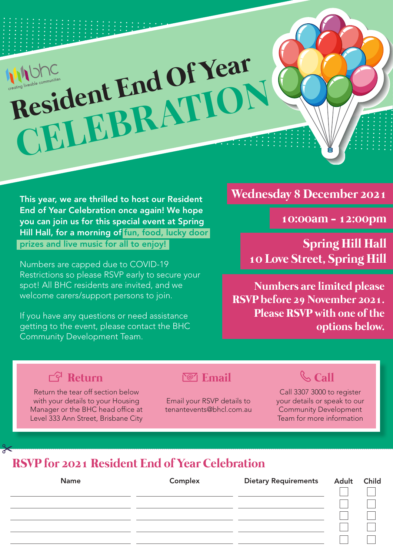

This year, we are thrilled to host our Resident End of Year Celebration once again! We hope you can join us for this special event at Spring Hill Hall, for a morning of fun, food, lucky door prizes and live music for all to enjoy!

Numbers are capped due to COVID-19 Restrictions so please RSVP early to secure your spot! All BHC residents are invited, and we welcome carers/support persons to join.

If you have any questions or need assistance getting to the event, please contact the BHC Community Development Team.

#### **Wednesday 8 December 2021**

**10:00am - 12:00pm**

**Spring Hill Hall 10 Love Street, Spring Hill**

**Numbers are limited please RSVP before 29 November 2021. Please RSVP with one of the options below.** 

## **Return Example 2 Email Call**

Return the tear off section below with your details to your Housing Manager or the BHC head office at Level 333 Ann Street, Brisbane City

Email your RSVP details to tenantevents@bhcl.com.au

Call 3307 3000 to register your details or speak to our Community Development Team for more information

# **RSVP for 2021 Resident End of Year Celebration**

| <b>Name</b> | Complex | Dietary Requirements Adult Child |  |
|-------------|---------|----------------------------------|--|
|             |         |                                  |  |
|             |         |                                  |  |
|             |         |                                  |  |
|             |         |                                  |  |
|             |         |                                  |  |